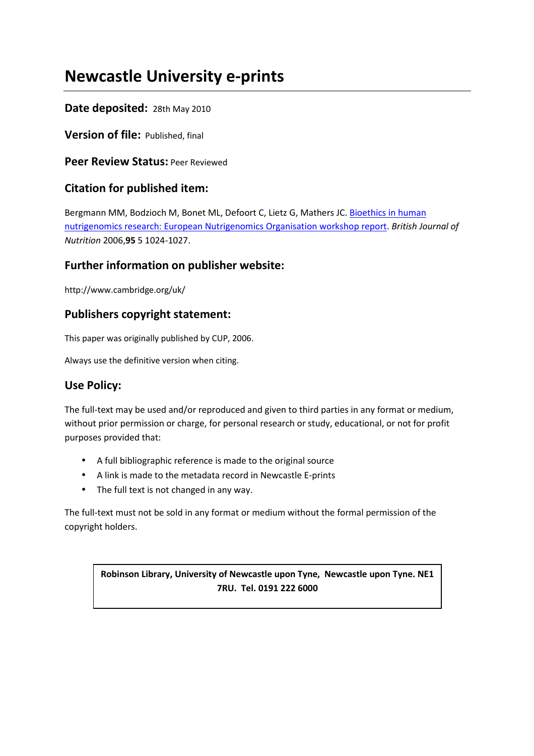# **Newcastle University e-prints**

# **Date deposited:** 28th May 2010

**Version of file:** Published, final

**Peer Review Status:** Peer Reviewed

# **Citation for published item:**

Bergmann MM, Bodzioch M, Bonet ML, Defoort C, Lietz G, Mathers JC. Bioethics in human nutrigenomics research: European Nutrigenomics Organisation workshop report. *British Journal of Nutrition* 2006,**95** 5 1024-1027.

# **Further information on publisher website:**

http://www.cambridge.org/uk/

# **Publishers copyright statement:**

This paper was originally published by CUP, 2006.

Always use the definitive version when citing.

# **Use Policy:**

The full-text may be used and/or reproduced and given to third parties in any format or medium, without prior permission or charge, for personal research or study, educational, or not for profit purposes provided that:

- A full bibliographic reference is made to the original source
- A link is made to the metadata record in Newcastle E-prints
- The full text is not changed in any way.

The full-text must not be sold in any format or medium without the formal permission of the copyright holders.

**Robinson Library, University of Newcastle upon Tyne, Newcastle upon Tyne. NE1 7RU. Tel. 0191 222 6000**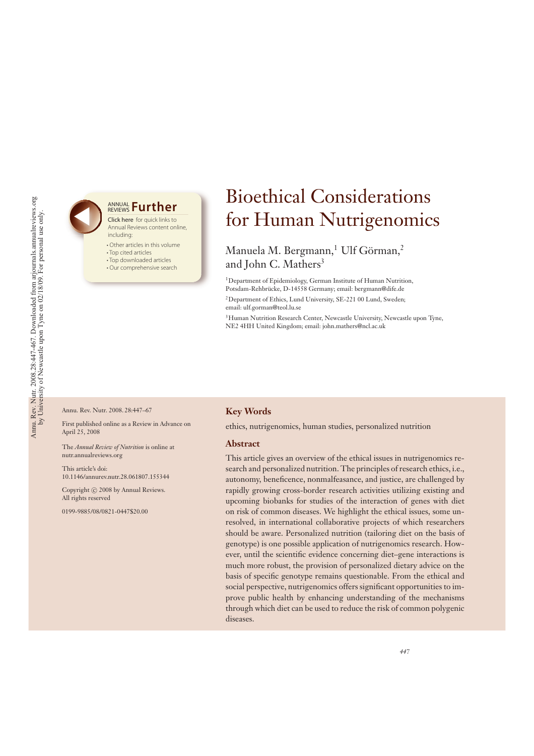

# Click here for quick links to **ANNUAL Further**

Annual Reviews content online, including:

• Other articles in this volume · Top cited articles · Top downloaded articles

. Our comprehensive search

# Bioethical Considerations for Human Nutrigenomics

Manuela M. Bergmann, $^1$  Ulf Görman, $^2$ and John C. Mathers<sup>3</sup>

<sup>1</sup>Department of Epidemiology, German Institute of Human Nutrition, Potsdam-Rehbrucke, D-14558 Germany; email: bergmann@dife.de ¨ <sup>2</sup>Department of Ethics, Lund University, SE-221 00 Lund, Sweden; email: ulf.gorman@teol.lu.se

<sup>3</sup>Human Nutrition Research Center, Newcastle University, Newcastle upon Tyne, NE2 4HH United Kingdom; email: john.mathers@ncl.ac.uk

#### Annu. Rev. Nutr. 2008. 28:447–67

First published online as a Review in Advance on April 25, 2008

The *Annual Review of Nutrition* is online at nutr.annualreviews.org

This article's doi: 10.1146/annurev.nutr.28.061807.155344

Copyright © 2008 by Annual Reviews. All rights reserved

0199-9885/08/0821-0447\$20.00

#### **Key Words**

ethics, nutrigenomics, human studies, personalized nutrition

#### **Abstract**

This article gives an overview of the ethical issues in nutrigenomics research and personalized nutrition. The principles of research ethics, i.e., autonomy, beneficence, nonmalfeasance, and justice, are challenged by rapidly growing cross-border research activities utilizing existing and upcoming biobanks for studies of the interaction of genes with diet on risk of common diseases. We highlight the ethical issues, some unresolved, in international collaborative projects of which researchers should be aware. Personalized nutrition (tailoring diet on the basis of genotype) is one possible application of nutrigenomics research. However, until the scientific evidence concerning diet–gene interactions is much more robust, the provision of personalized dietary advice on the basis of specific genotype remains questionable. From the ethical and social perspective, nutrigenomics offers significant opportunities to improve public health by enhancing understanding of the mechanisms through which diet can be used to reduce the risk of common polygenic diseases.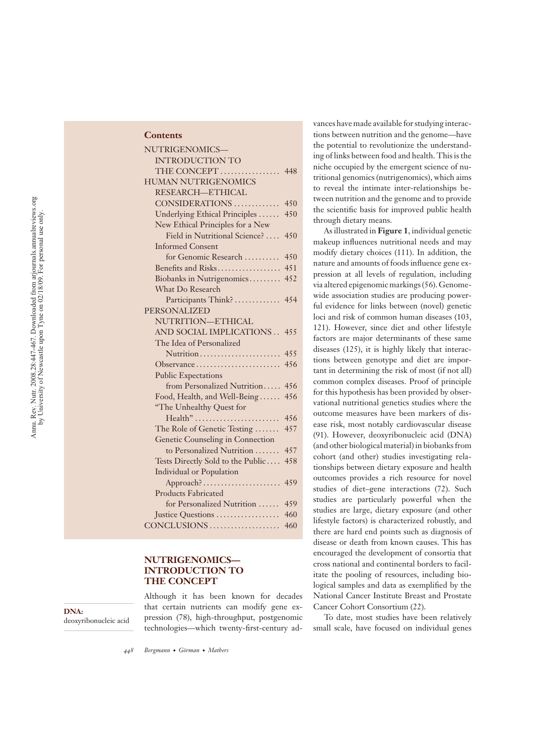#### **Contents**

| NUTRIGENOMICS-                          |     |
|-----------------------------------------|-----|
| <b>INTRODUCTION TO</b>                  |     |
| THE CONCEPT<br>$\cdots$                 | 448 |
| <b>HUMAN NUTRIGENOMICS</b>              |     |
| RESEARCH-ETHICAL                        |     |
| CONSIDERATIONS                          | 450 |
| Underlying Ethical Principles           | 450 |
| New Ethical Principles for a New        |     |
| Field in Nutritional Science?           | 450 |
| <b>Informed Consent</b>                 |     |
| for Genomic Research                    | 450 |
| Benefits and Risks                      | 451 |
| Biobanks in Nutrigenomics               | 452 |
| What Do Research                        |     |
| Participants Think?                     | 454 |
| PERSONALIZED                            |     |
| NUTRITION-ETHICAL                       |     |
| AND SOCIAL IMPLICATIONS . 455           |     |
| The Idea of Personalized                |     |
| Nutrition                               | 455 |
| Observance                              | 456 |
| <b>Public Expectations</b>              |     |
| from Personalized Nutrition             | 456 |
| Food, Health, and Well-Being            | 456 |
| "The Unhealthy Quest for                |     |
| Health <sup>"</sup>                     | 456 |
| The Role of Genetic Testing             | 457 |
| <b>Genetic Counseling in Connection</b> |     |
| to Personalized Nutrition               | 457 |
| Tests Directly Sold to the Public       | 458 |
| <b>Individual or Population</b>         |     |
| Approach?                               | 459 |
| <b>Products Fabricated</b>              |     |
| for Personalized Nutrition              | 459 |
| Justice Questions                       | 460 |
| CONCLUSIONS                             | 460 |

## **NUTRIGENOMICS— INTRODUCTION TO THE CONCEPT**

*448 Bergmann* · *G¨orman* · *Mathers*

**DNA:** deoxyribonucleic acid Although it has been known for decades that certain nutrients can modify gene expression (78), high-throughput, postgenomic technologies—which twenty-first-century advances have made available for studying interactions between nutrition and the genome—have the potential to revolutionize the understanding of links between food and health. This is the niche occupied by the emergent science of nutritional genomics (nutrigenomics), which aims to reveal the intimate inter-relationships between nutrition and the genome and to provide the scientific basis for improved public health through dietary means.

As illustrated in **Figure 1**, individual genetic makeup influences nutritional needs and may modify dietary choices (111). In addition, the nature and amounts of foods influence gene expression at all levels of regulation, including via altered epigenomic markings (56). Genomewide association studies are producing powerful evidence for links between (novel) genetic loci and risk of common human diseases (103, 121). However, since diet and other lifestyle factors are major determinants of these same diseases (125), it is highly likely that interactions between genotype and diet are important in determining the risk of most (if not all) common complex diseases. Proof of principle for this hypothesis has been provided by observational nutritional genetics studies where the outcome measures have been markers of disease risk, most notably cardiovascular disease (91). However, deoxyribonucleic acid (DNA) (and other biological material) in biobanks from cohort (and other) studies investigating relationships between dietary exposure and health outcomes provides a rich resource for novel studies of diet–gene interactions (72). Such studies are particularly powerful when the studies are large, dietary exposure (and other lifestyle factors) is characterized robustly, and there are hard end points such as diagnosis of disease or death from known causes. This has encouraged the development of consortia that cross national and continental borders to facilitate the pooling of resources, including biological samples and data as exemplified by the National Cancer Institute Breast and Prostate Cancer Cohort Consortium (22).

To date, most studies have been relatively small scale, have focused on individual genes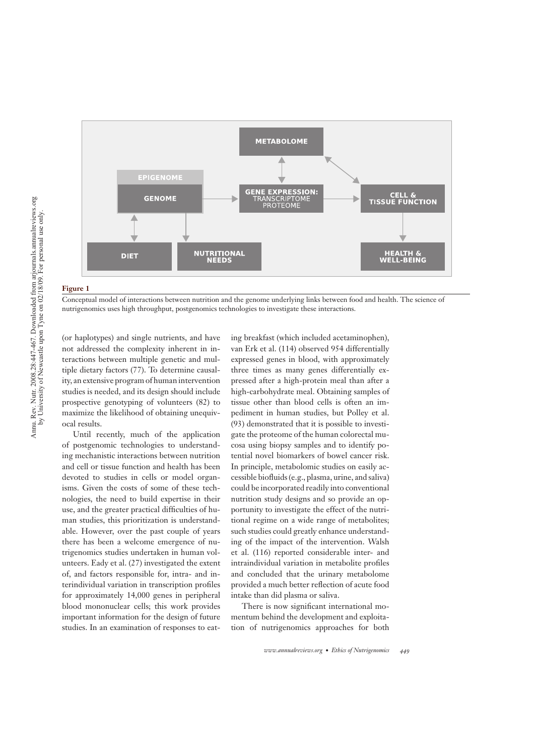

**Figure 1**

Conceptual model of interactions between nutrition and the genome underlying links between food and health. The science of nutrigenomics uses high throughput, postgenomics technologies to investigate these interactions.

(or haplotypes) and single nutrients, and have not addressed the complexity inherent in interactions between multiple genetic and multiple dietary factors (77). To determine causality, an extensive program of human intervention studies is needed, and its design should include prospective genotyping of volunteers (82) to maximize the likelihood of obtaining unequivocal results.

Until recently, much of the application of postgenomic technologies to understanding mechanistic interactions between nutrition and cell or tissue function and health has been devoted to studies in cells or model organisms. Given the costs of some of these technologies, the need to build expertise in their use, and the greater practical difficulties of human studies, this prioritization is understandable. However, over the past couple of years there has been a welcome emergence of nutrigenomics studies undertaken in human volunteers. Eady et al. (27) investigated the extent of, and factors responsible for, intra- and interindividual variation in transcription profiles for approximately 14,000 genes in peripheral blood mononuclear cells; this work provides important information for the design of future studies. In an examination of responses to eating breakfast (which included acetaminophen), van Erk et al. (114) observed 954 differentially expressed genes in blood, with approximately three times as many genes differentially expressed after a high-protein meal than after a high-carbohydrate meal. Obtaining samples of tissue other than blood cells is often an impediment in human studies, but Polley et al. (93) demonstrated that it is possible to investigate the proteome of the human colorectal mucosa using biopsy samples and to identify potential novel biomarkers of bowel cancer risk. In principle, metabolomic studies on easily accessible biofluids (e.g., plasma, urine, and saliva) could be incorporated readily into conventional nutrition study designs and so provide an opportunity to investigate the effect of the nutritional regime on a wide range of metabolites; such studies could greatly enhance understanding of the impact of the intervention. Walsh et al. (116) reported considerable inter- and intraindividual variation in metabolite profiles and concluded that the urinary metabolome provided a much better reflection of acute food intake than did plasma or saliva.

There is now significant international momentum behind the development and exploitation of nutrigenomics approaches for both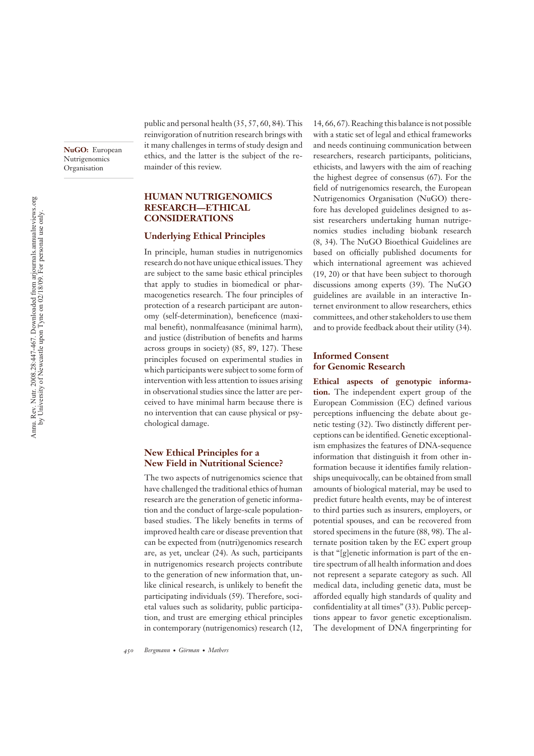**NuGO:** European Nutrigenomics Organisation

public and personal health (35, 57, 60, 84). This reinvigoration of nutrition research brings with it many challenges in terms of study design and ethics, and the latter is the subject of the remainder of this review.

## **HUMAN NUTRIGENOMICS RESEARCH—ETHICAL CONSIDERATIONS**

## **Underlying Ethical Principles**

In principle, human studies in nutrigenomics research do not have unique ethical issues. They are subject to the same basic ethical principles that apply to studies in biomedical or pharmacogenetics research. The four principles of protection of a research participant are autonomy (self-determination), beneficence (maximal benefit), nonmalfeasance (minimal harm), and justice (distribution of benefits and harms across groups in society) (85, 89, 127). These principles focused on experimental studies in which participants were subject to some form of intervention with less attention to issues arising in observational studies since the latter are perceived to have minimal harm because there is no intervention that can cause physical or psychological damage.

## **New Ethical Principles for a New Field in Nutritional Science?**

The two aspects of nutrigenomics science that have challenged the traditional ethics of human research are the generation of genetic information and the conduct of large-scale populationbased studies. The likely benefits in terms of improved health care or disease prevention that can be expected from (nutri)genomics research are, as yet, unclear (24). As such, participants in nutrigenomics research projects contribute to the generation of new information that, unlike clinical research, is unlikely to benefit the participating individuals (59). Therefore, societal values such as solidarity, public participation, and trust are emerging ethical principles in contemporary (nutrigenomics) research (12,

14, 66, 67). Reaching this balance is not possible with a static set of legal and ethical frameworks and needs continuing communication between researchers, research participants, politicians, ethicists, and lawyers with the aim of reaching the highest degree of consensus (67). For the field of nutrigenomics research, the European Nutrigenomics Organisation (NuGO) therefore has developed guidelines designed to assist researchers undertaking human nutrigenomics studies including biobank research (8, 34). The NuGO Bioethical Guidelines are based on officially published documents for which international agreement was achieved (19, 20) or that have been subject to thorough discussions among experts (39). The NuGO guidelines are available in an interactive Internet environment to allow researchers, ethics committees, and other stakeholders to use them and to provide feedback about their utility (34).

## **Informed Consent for Genomic Research**

**Ethical aspects of genotypic information.** The independent expert group of the European Commission (EC) defined various perceptions influencing the debate about genetic testing (32). Two distinctly different perceptions can be identified. Genetic exceptionalism emphasizes the features of DNA-sequence information that distinguish it from other information because it identifies family relationships unequivocally, can be obtained from small amounts of biological material, may be used to predict future health events, may be of interest to third parties such as insurers, employers, or potential spouses, and can be recovered from stored specimens in the future (88, 98). The alternate position taken by the EC expert group is that "[g]enetic information is part of the entire spectrum of all health information and does not represent a separate category as such. All medical data, including genetic data, must be afforded equally high standards of quality and confidentiality at all times" (33). Public perceptions appear to favor genetic exceptionalism. The development of DNA fingerprinting for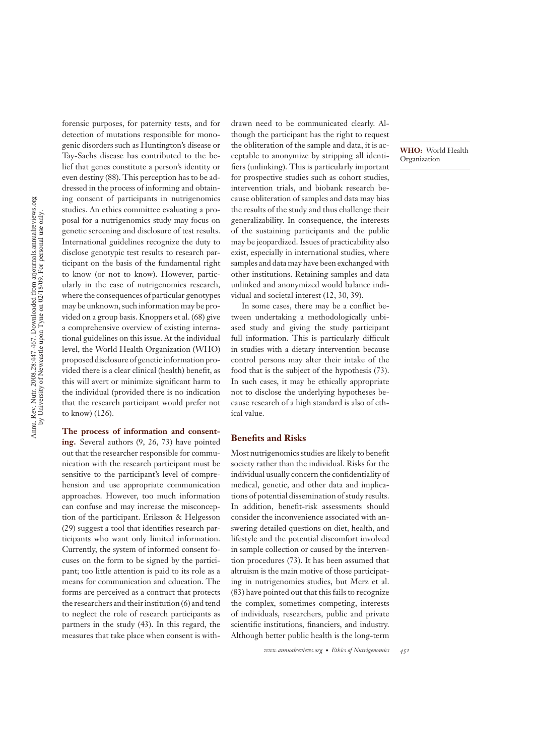forensic purposes, for paternity tests, and for detection of mutations responsible for monogenic disorders such as Huntington's disease or Tay-Sachs disease has contributed to the belief that genes constitute a person's identity or even destiny (88). This perception has to be addressed in the process of informing and obtaining consent of participants in nutrigenomics studies. An ethics committee evaluating a proposal for a nutrigenomics study may focus on genetic screening and disclosure of test results. International guidelines recognize the duty to disclose genotypic test results to research participant on the basis of the fundamental right to know (or not to know). However, particularly in the case of nutrigenomics research, where the consequences of particular genotypes may be unknown, such information may be provided on a group basis. Knoppers et al. (68) give a comprehensive overview of existing international guidelines on this issue. At the individual level, the World Health Organization (WHO) proposed disclosure of genetic information provided there is a clear clinical (health) benefit, as this will avert or minimize significant harm to the individual (provided there is no indication that the research participant would prefer not to know) (126).

**The process of information and consenting.** Several authors (9, 26, 73) have pointed out that the researcher responsible for communication with the research participant must be sensitive to the participant's level of comprehension and use appropriate communication approaches. However, too much information can confuse and may increase the misconception of the participant. Eriksson & Helgesson (29) suggest a tool that identifies research participants who want only limited information. Currently, the system of informed consent focuses on the form to be signed by the participant; too little attention is paid to its role as a means for communication and education. The forms are perceived as a contract that protects the researchers and their institution (6) and tend to neglect the role of research participants as partners in the study (43). In this regard, the measures that take place when consent is with-

drawn need to be communicated clearly. Although the participant has the right to request the obliteration of the sample and data, it is acceptable to anonymize by stripping all identifiers (unlinking). This is particularly important for prospective studies such as cohort studies, intervention trials, and biobank research because obliteration of samples and data may bias the results of the study and thus challenge their generalizability. In consequence, the interests of the sustaining participants and the public may be jeopardized. Issues of practicability also exist, especially in international studies, where samples and data may have been exchanged with other institutions. Retaining samples and data unlinked and anonymized would balance individual and societal interest (12, 30, 39).

In some cases, there may be a conflict between undertaking a methodologically unbiased study and giving the study participant full information. This is particularly difficult in studies with a dietary intervention because control persons may alter their intake of the food that is the subject of the hypothesis (73). In such cases, it may be ethically appropriate not to disclose the underlying hypotheses because research of a high standard is also of ethical value.

#### **Benefits and Risks**

Most nutrigenomics studies are likely to benefit society rather than the individual. Risks for the individual usually concern the confidentiality of medical, genetic, and other data and implications of potential dissemination of study results. In addition, benefit-risk assessments should consider the inconvenience associated with answering detailed questions on diet, health, and lifestyle and the potential discomfort involved in sample collection or caused by the intervention procedures (73). It has been assumed that altruism is the main motive of those participating in nutrigenomics studies, but Merz et al. (83) have pointed out that this fails to recognize the complex, sometimes competing, interests of individuals, researchers, public and private scientific institutions, financiers, and industry. Although better public health is the long-term **WHO:** World Health Organization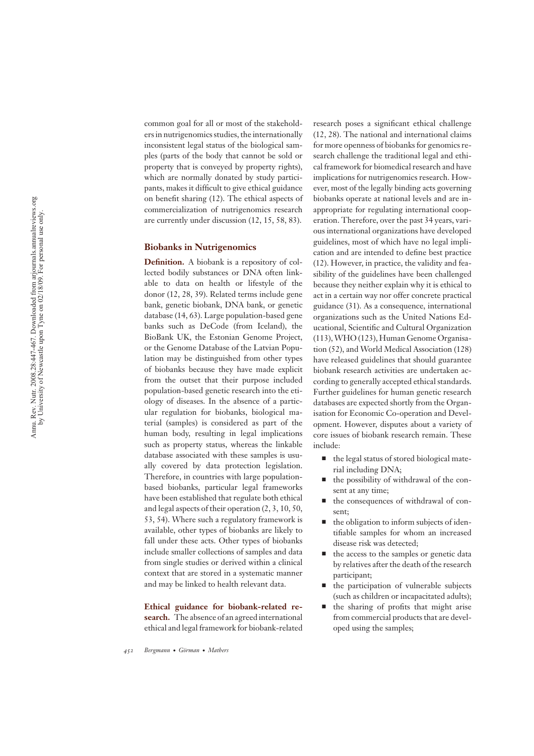common goal for all or most of the stakeholders in nutrigenomics studies, the internationally inconsistent legal status of the biological samples (parts of the body that cannot be sold or property that is conveyed by property rights), which are normally donated by study participants, makes it difficult to give ethical guidance on benefit sharing (12). The ethical aspects of commercialization of nutrigenomics research are currently under discussion (12, 15, 58, 83).

#### **Biobanks in Nutrigenomics**

**Definition.** A biobank is a repository of collected bodily substances or DNA often linkable to data on health or lifestyle of the donor (12, 28, 39). Related terms include gene bank, genetic biobank, DNA bank, or genetic database (14, 63). Large population-based gene banks such as DeCode (from Iceland), the BioBank UK, the Estonian Genome Project, or the Genome Database of the Latvian Population may be distinguished from other types of biobanks because they have made explicit from the outset that their purpose included population-based genetic research into the etiology of diseases. In the absence of a particular regulation for biobanks, biological material (samples) is considered as part of the human body, resulting in legal implications such as property status, whereas the linkable database associated with these samples is usually covered by data protection legislation. Therefore, in countries with large populationbased biobanks, particular legal frameworks have been established that regulate both ethical and legal aspects of their operation (2, 3, 10, 50, 53, 54). Where such a regulatory framework is available, other types of biobanks are likely to fall under these acts. Other types of biobanks include smaller collections of samples and data from single studies or derived within a clinical context that are stored in a systematic manner and may be linked to health relevant data.

**Ethical guidance for biobank-related research.** The absence of an agreed international ethical and legal framework for biobank-related

*452 Bergmann* · *G¨orman* · *Mathers*

research poses a significant ethical challenge (12, 28). The national and international claims for more openness of biobanks for genomics research challenge the traditional legal and ethical framework for biomedical research and have implications for nutrigenomics research. However, most of the legally binding acts governing biobanks operate at national levels and are inappropriate for regulating international cooperation. Therefore, over the past 34 years, various international organizations have developed guidelines, most of which have no legal implication and are intended to define best practice (12). However, in practice, the validity and feasibility of the guidelines have been challenged because they neither explain why it is ethical to act in a certain way nor offer concrete practical guidance (31). As a consequence, international organizations such as the United Nations Educational, Scientific and Cultural Organization (113), WHO (123), Human Genome Organisation (52), and World Medical Association (128) have released guidelines that should guarantee biobank research activities are undertaken according to generally accepted ethical standards. Further guidelines for human genetic research databases are expected shortly from the Organisation for Economic Co-operation and Development. However, disputes about a variety of core issues of biobank research remain. These include:

- the legal status of stored biological material including DNA;
- the possibility of withdrawal of the consent at any time;
- $\blacksquare$  the consequences of withdrawal of consent;
- the obligation to inform subjects of identifiable samples for whom an increased disease risk was detected;
- the access to the samples or genetic data by relatives after the death of the research participant;
- the participation of vulnerable subjects (such as children or incapacitated adults);
- $\blacksquare$  the sharing of profits that might arise from commercial products that are developed using the samples;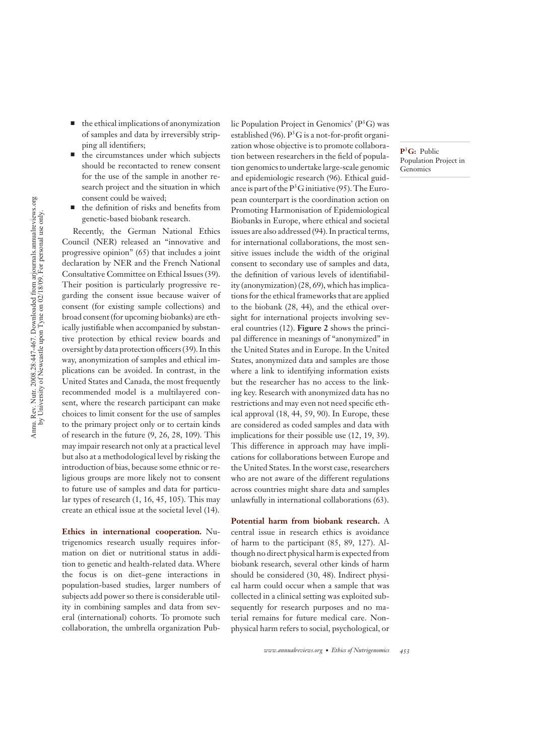- Annu. Rev. Nutr. 2008.28:447-467. Downloaded from arjournals.amualreviews.org<br>by University of Newcastle upon Tyne on 02/18/09. For personal use only. Annu. Rev. Nutr. 2008.28:447-467. Downloaded from arjournals.annualreviews.org by University of Newcastle upon Tyne on 02/18/09. For personal use only.
- the ethical implications of anonymization of samples and data by irreversibly stripping all identifiers;
- the circumstances under which subjects should be recontacted to renew consent for the use of the sample in another research project and the situation in which consent could be waived;
- the definition of risks and benefits from genetic-based biobank research.

Recently, the German National Ethics Council (NER) released an "innovative and progressive opinion" (65) that includes a joint declaration by NER and the French National Consultative Committee on Ethical Issues (39). Their position is particularly progressive regarding the consent issue because waiver of consent (for existing sample collections) and broad consent (for upcoming biobanks) are ethically justifiable when accompanied by substantive protection by ethical review boards and oversight by data protection officers (39). In this way, anonymization of samples and ethical implications can be avoided. In contrast, in the United States and Canada, the most frequently recommended model is a multilayered consent, where the research participant can make choices to limit consent for the use of samples to the primary project only or to certain kinds of research in the future (9, 26, 28, 109). This may impair research not only at a practical level but also at a methodological level by risking the introduction of bias, because some ethnic or religious groups are more likely not to consent to future use of samples and data for particular types of research  $(1, 16, 45, 105)$ . This may create an ethical issue at the societal level (14).

**Ethics in international cooperation.** Nutrigenomics research usually requires information on diet or nutritional status in addition to genetic and health-related data. Where the focus is on diet–gene interactions in population-based studies, larger numbers of subjects add power so there is considerable utility in combining samples and data from several (international) cohorts. To promote such collaboration, the umbrella organization Public Population Project in Genomics' (P<sup>3</sup>G) was established (96).  $P<sup>3</sup>G$  is a not-for-profit organization whose objective is to promote collaboration between researchers in the field of population genomics to undertake large-scale genomic and epidemiologic research (96). Ethical guidance is part of the  $P<sup>3</sup>G$  initiative (95). The European counterpart is the coordination action on Promoting Harmonisation of Epidemiological Biobanks in Europe, where ethical and societal issues are also addressed (94). In practical terms, for international collaborations, the most sensitive issues include the width of the original consent to secondary use of samples and data, the definition of various levels of identifiability (anonymization) (28, 69), which has implications for the ethical frameworks that are applied to the biobank (28, 44), and the ethical oversight for international projects involving several countries (12). **Figure 2** shows the principal difference in meanings of "anonymized" in the United States and in Europe. In the United States, anonymized data and samples are those where a link to identifying information exists but the researcher has no access to the linking key. Research with anonymized data has no restrictions and may even not need specific ethical approval (18, 44, 59, 90). In Europe, these are considered as coded samples and data with implications for their possible use (12, 19, 39). This difference in approach may have implications for collaborations between Europe and the United States. In the worst case, researchers who are not aware of the different regulations across countries might share data and samples unlawfully in international collaborations (63).

**Potential harm from biobank research.** A central issue in research ethics is avoidance of harm to the participant (85, 89, 127). Although no direct physical harm is expected from biobank research, several other kinds of harm should be considered (30, 48). Indirect physical harm could occur when a sample that was collected in a clinical setting was exploited subsequently for research purposes and no material remains for future medical care. Nonphysical harm refers to social, psychological, or **P** <sup>3</sup>**G:** Public Population Project in **Genomics**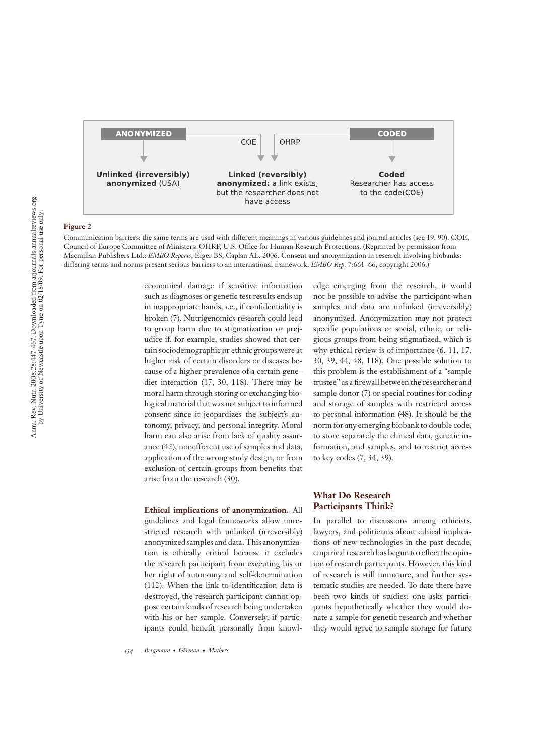

#### **Figure 2**

Communication barriers: the same terms are used with different meanings in various guidelines and journal articles (see 19, 90). COE, Council of Europe Committee of Ministers; OHRP, U.S. Office for Human Research Protections. (Reprinted by permission from Macmillan Publishers Ltd.: *EMBO Reports*, Elger BS, Caplan AL. 2006. Consent and anonymization in research involving biobanks: differing terms and norms present serious barriers to an international framework. *EMBO Rep.* 7:661–66, copyright 2006.)

economical damage if sensitive information such as diagnoses or genetic test results ends up in inappropriate hands, i.e., if confidentiality is broken (7). Nutrigenomics research could lead to group harm due to stigmatization or prejudice if, for example, studies showed that certain sociodemographic or ethnic groups were at higher risk of certain disorders or diseases because of a higher prevalence of a certain gene– diet interaction (17, 30, 118). There may be moral harm through storing or exchanging biological material that was not subject to informed consent since it jeopardizes the subject's autonomy, privacy, and personal integrity. Moral harm can also arise from lack of quality assurance (42), nonefficient use of samples and data, application of the wrong study design, or from exclusion of certain groups from benefits that arise from the research (30).

#### **Ethical implications of anonymization.** All

guidelines and legal frameworks allow unrestricted research with unlinked (irreversibly) anonymized samples and data. This anonymization is ethically critical because it excludes the research participant from executing his or her right of autonomy and self-determination (112). When the link to identification data is destroyed, the research participant cannot oppose certain kinds of research being undertaken with his or her sample. Conversely, if participants could benefit personally from knowledge emerging from the research, it would not be possible to advise the participant when samples and data are unlinked (irreversibly) anonymized. Anonymization may not protect specific populations or social, ethnic, or religious groups from being stigmatized, which is why ethical review is of importance  $(6, 11, 17,$ 30, 39, 44, 48, 118). One possible solution to this problem is the establishment of a "sample trustee" as a firewall between the researcher and sample donor (7) or special routines for coding and storage of samples with restricted access to personal information (48). It should be the norm for any emerging biobank to double code, to store separately the clinical data, genetic information, and samples, and to restrict access to key codes (7, 34, 39).

# **What Do Research Participants Think?**

In parallel to discussions among ethicists, lawyers, and politicians about ethical implications of new technologies in the past decade, empirical research has begun to reflect the opinion of research participants. However, this kind of research is still immature, and further systematic studies are needed. To date there have been two kinds of studies: one asks participants hypothetically whether they would donate a sample for genetic research and whether they would agree to sample storage for future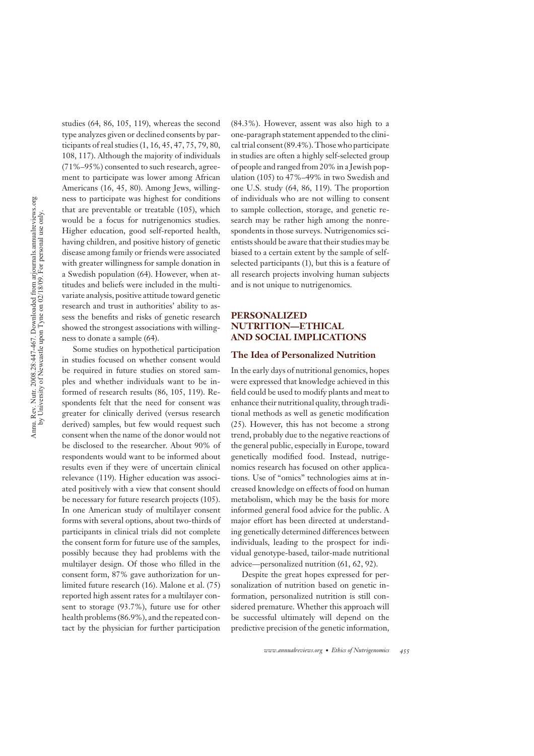studies (64, 86, 105, 119), whereas the second type analyzes given or declined consents by participants of real studies (1, 16, 45, 47, 75, 79, 80, 108, 117). Although the majority of individuals (71%–95%) consented to such research, agreement to participate was lower among African Americans (16, 45, 80). Among Jews, willingness to participate was highest for conditions that are preventable or treatable (105), which would be a focus for nutrigenomics studies. Higher education, good self-reported health, having children, and positive history of genetic disease among family or friends were associated with greater willingness for sample donation in a Swedish population (64). However, when attitudes and beliefs were included in the multivariate analysis, positive attitude toward genetic research and trust in authorities' ability to assess the benefits and risks of genetic research showed the strongest associations with willingness to donate a sample (64).

Some studies on hypothetical participation in studies focused on whether consent would be required in future studies on stored samples and whether individuals want to be informed of research results (86, 105, 119). Respondents felt that the need for consent was greater for clinically derived (versus research derived) samples, but few would request such consent when the name of the donor would not be disclosed to the researcher. About 90% of respondents would want to be informed about results even if they were of uncertain clinical relevance (119). Higher education was associated positively with a view that consent should be necessary for future research projects (105). In one American study of multilayer consent forms with several options, about two-thirds of participants in clinical trials did not complete the consent form for future use of the samples, possibly because they had problems with the multilayer design. Of those who filled in the consent form, 87% gave authorization for unlimited future research (16). Malone et al. (75) reported high assent rates for a multilayer consent to storage (93.7%), future use for other health problems (86.9%), and the repeated contact by the physician for further participation (84.3%). However, assent was also high to a one-paragraph statement appended to the clinical trial consent (89.4%). Those who participate in studies are often a highly self-selected group of people and ranged from 20% in a Jewish population (105) to 47%–49% in two Swedish and one U.S. study (64, 86, 119). The proportion of individuals who are not willing to consent to sample collection, storage, and genetic research may be rather high among the nonrespondents in those surveys. Nutrigenomics scientists should be aware that their studies may be biased to a certain extent by the sample of selfselected participants (1), but this is a feature of all research projects involving human subjects and is not unique to nutrigenomics.

# **PERSONALIZED NUTRITION—ETHICAL AND SOCIAL IMPLICATIONS**

#### **The Idea of Personalized Nutrition**

In the early days of nutritional genomics, hopes were expressed that knowledge achieved in this field could be used to modify plants and meat to enhance their nutritional quality, through traditional methods as well as genetic modification (25). However, this has not become a strong trend, probably due to the negative reactions of the general public, especially in Europe, toward genetically modified food. Instead, nutrigenomics research has focused on other applications. Use of "omics" technologies aims at increased knowledge on effects of food on human metabolism, which may be the basis for more informed general food advice for the public. A major effort has been directed at understanding genetically determined differences between individuals, leading to the prospect for individual genotype-based, tailor-made nutritional advice—personalized nutrition (61, 62, 92).

Despite the great hopes expressed for personalization of nutrition based on genetic information, personalized nutrition is still considered premature. Whether this approach will be successful ultimately will depend on the predictive precision of the genetic information,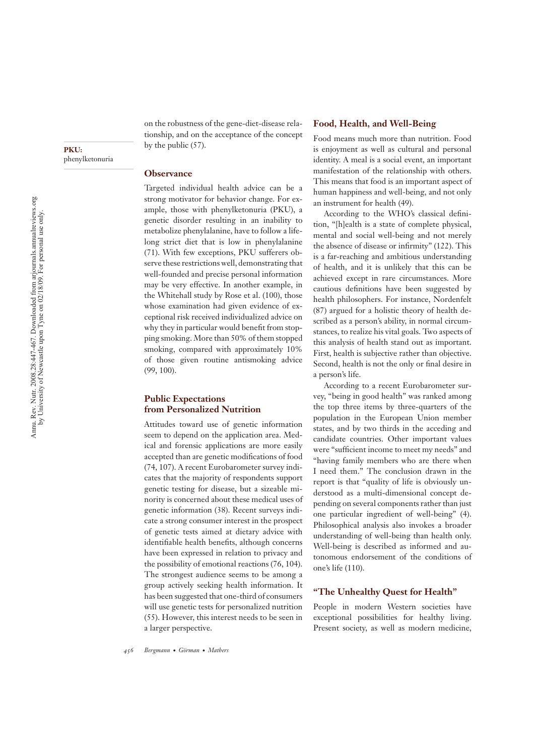**PKU:** phenylketonuria on the robustness of the gene-diet-disease relationship, and on the acceptance of the concept by the public (57).

#### **Observance**

Targeted individual health advice can be a strong motivator for behavior change. For example, those with phenylketonuria (PKU), a genetic disorder resulting in an inability to metabolize phenylalanine, have to follow a lifelong strict diet that is low in phenylalanine (71). With few exceptions, PKU sufferers observe these restrictions well, demonstrating that well-founded and precise personal information may be very effective. In another example, in the Whitehall study by Rose et al. (100), those whose examination had given evidence of exceptional risk received individualized advice on why they in particular would benefit from stopping smoking. More than 50% of them stopped smoking, compared with approximately 10% of those given routine antismoking advice (99, 100).

## **Public Expectations from Personalized Nutrition**

Attitudes toward use of genetic information seem to depend on the application area. Medical and forensic applications are more easily accepted than are genetic modifications of food (74, 107). A recent Eurobarometer survey indicates that the majority of respondents support genetic testing for disease, but a sizeable minority is concerned about these medical uses of genetic information (38). Recent surveys indicate a strong consumer interest in the prospect of genetic tests aimed at dietary advice with identifiable health benefits, although concerns have been expressed in relation to privacy and the possibility of emotional reactions (76, 104). The strongest audience seems to be among a group actively seeking health information. It has been suggested that one-third of consumers will use genetic tests for personalized nutrition (55). However, this interest needs to be seen in a larger perspective.

## **Food, Health, and Well-Being**

Food means much more than nutrition. Food is enjoyment as well as cultural and personal identity. A meal is a social event, an important manifestation of the relationship with others. This means that food is an important aspect of human happiness and well-being, and not only an instrument for health (49).

According to the WHO's classical definition, "[h]ealth is a state of complete physical, mental and social well-being and not merely the absence of disease or infirmity" (122). This is a far-reaching and ambitious understanding of health, and it is unlikely that this can be achieved except in rare circumstances. More cautious definitions have been suggested by health philosophers. For instance, Nordenfelt (87) argued for a holistic theory of health described as a person's ability, in normal circumstances, to realize his vital goals. Two aspects of this analysis of health stand out as important. First, health is subjective rather than objective. Second, health is not the only or final desire in a person's life.

According to a recent Eurobarometer survey, "being in good health" was ranked among the top three items by three-quarters of the population in the European Union member states, and by two thirds in the acceding and candidate countries. Other important values were "sufficient income to meet my needs" and "having family members who are there when I need them." The conclusion drawn in the report is that "quality of life is obviously understood as a multi-dimensional concept depending on several components rather than just one particular ingredient of well-being" (4). Philosophical analysis also invokes a broader understanding of well-being than health only. Well-being is described as informed and autonomous endorsement of the conditions of one's life (110).

#### **"The Unhealthy Quest for Health"**

People in modern Western societies have exceptional possibilities for healthy living. Present society, as well as modern medicine,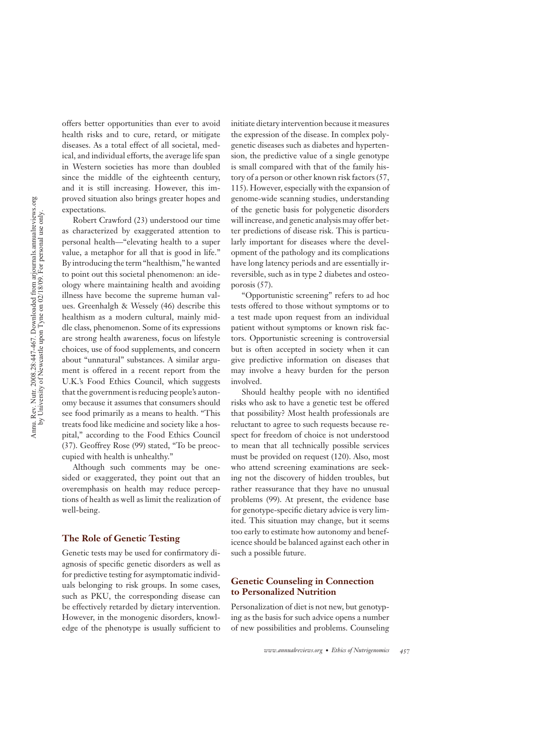offers better opportunities than ever to avoid health risks and to cure, retard, or mitigate diseases. As a total effect of all societal, medical, and individual efforts, the average life span in Western societies has more than doubled since the middle of the eighteenth century, and it is still increasing. However, this improved situation also brings greater hopes and expectations.

Robert Crawford (23) understood our time as characterized by exaggerated attention to personal health—"elevating health to a super value, a metaphor for all that is good in life." By introducing the term "healthism," he wanted to point out this societal phenomenon: an ideology where maintaining health and avoiding illness have become the supreme human values. Greenhalgh & Wessely (46) describe this healthism as a modern cultural, mainly middle class, phenomenon. Some of its expressions are strong health awareness, focus on lifestyle choices, use of food supplements, and concern about "unnatural" substances. A similar argument is offered in a recent report from the U.K.'s Food Ethics Council, which suggests that the government is reducing people's autonomy because it assumes that consumers should see food primarily as a means to health. "This treats food like medicine and society like a hospital," according to the Food Ethics Council (37). Geoffrey Rose (99) stated, "To be preoccupied with health is unhealthy."

Although such comments may be onesided or exaggerated, they point out that an overemphasis on health may reduce perceptions of health as well as limit the realization of well-being.

## **The Role of Genetic Testing**

Genetic tests may be used for confirmatory diagnosis of specific genetic disorders as well as for predictive testing for asymptomatic individuals belonging to risk groups. In some cases, such as PKU, the corresponding disease can be effectively retarded by dietary intervention. However, in the monogenic disorders, knowledge of the phenotype is usually sufficient to

initiate dietary intervention because it measures the expression of the disease. In complex polygenetic diseases such as diabetes and hypertension, the predictive value of a single genotype is small compared with that of the family history of a person or other known risk factors (57, 115). However, especially with the expansion of genome-wide scanning studies, understanding of the genetic basis for polygenetic disorders will increase, and genetic analysis may offer better predictions of disease risk. This is particularly important for diseases where the development of the pathology and its complications have long latency periods and are essentially irreversible, such as in type 2 diabetes and osteoporosis (57).

"Opportunistic screening" refers to ad hoc tests offered to those without symptoms or to a test made upon request from an individual patient without symptoms or known risk factors. Opportunistic screening is controversial but is often accepted in society when it can give predictive information on diseases that may involve a heavy burden for the person involved.

Should healthy people with no identified risks who ask to have a genetic test be offered that possibility? Most health professionals are reluctant to agree to such requests because respect for freedom of choice is not understood to mean that all technically possible services must be provided on request (120). Also, most who attend screening examinations are seeking not the discovery of hidden troubles, but rather reassurance that they have no unusual problems (99). At present, the evidence base for genotype-specific dietary advice is very limited. This situation may change, but it seems too early to estimate how autonomy and beneficence should be balanced against each other in such a possible future.

# **Genetic Counseling in Connection to Personalized Nutrition**

Personalization of diet is not new, but genotyping as the basis for such advice opens a number of new possibilities and problems. Counseling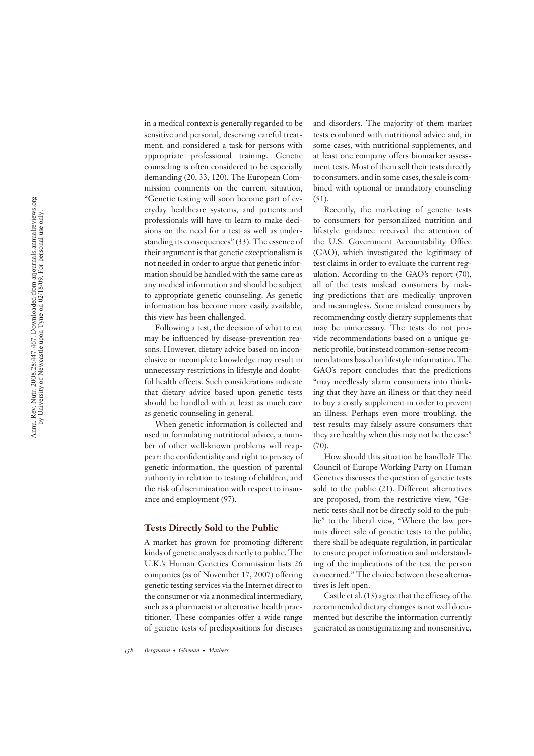in a medical context is generally regarded to be sensitive and personal, deserving careful treatment, and considered a task for persons with appropriate professional training. Genetic counseling is often considered to be especially demanding (20, 33, 120). The European Commission comments on the current situation, "Genetic testing will soon become part of everyday healthcare systems, and patients and professionals will have to learn to make decisions on the need for a test as well as understanding its consequences" (33). The essence of their argument is that genetic exceptionalism is not needed in order to argue that genetic information should be handled with the same care as any medical information and should be subject to appropriate genetic counseling. As genetic information has become more easily available, this view has been challenged.

Following a test, the decision of what to eat may be influenced by disease-prevention reasons. However, dietary advice based on inconclusive or incomplete knowledge may result in unnecessary restrictions in lifestyle and doubtful health effects. Such considerations indicate that dietary advice based upon genetic tests should be handled with at least as much care as genetic counseling in general.

When genetic information is collected and used in formulating nutritional advice, a number of other well-known problems will reappear: the confidentiality and right to privacy of genetic information, the question of parental authority in relation to testing of children, and the risk of discrimination with respect to insurance and employment (97).

#### **Tests Directly Sold to the Public**

A market has grown for promoting different kinds of genetic analyses directly to public. The U.K.'s Human Genetics Commission lists 26 companies (as of November 17, 2007) offering genetic testing services via the Internet direct to the consumer or via a nonmedical intermediary, such as a pharmacist or alternative health practitioner. These companies offer a wide range of genetic tests of predispositions for diseases and disorders. The majority of them market tests combined with nutritional advice and, in some cases, with nutritional supplements, and at least one company offers biomarker assessment tests. Most of them sell their tests directly to consumers, and in some cases, the sale is combined with optional or mandatory counseling  $(51)$ .

Recently, the marketing of genetic tests to consumers for personalized nutrition and lifestyle guidance received the attention of the U.S. Government Accountability Office (GAO), which investigated the legitimacy of test claims in order to evaluate the current regulation. According to the GAO's report (70), all of the tests mislead consumers by making predictions that are medically unproven and meaningless. Some mislead consumers by recommending costly dietary supplements that may be unnecessary. The tests do not provide recommendations based on a unique genetic profile, but instead common-sense recommendations based on lifestyle information. The GAO's report concludes that the predictions "may needlessly alarm consumers into thinking that they have an illness or that they need to buy a costly supplement in order to prevent an illness. Perhaps even more troubling, the test results may falsely assure consumers that they are healthy when this may not be the case"  $(70)$ .

How should this situation be handled? The Council of Europe Working Party on Human Genetics discusses the question of genetic tests sold to the public (21). Different alternatives are proposed, from the restrictive view, "Genetic tests shall not be directly sold to the public" to the liberal view, "Where the law permits direct sale of genetic tests to the public, there shall be adequate regulation, in particular to ensure proper information and understanding of the implications of the test the person concerned." The choice between these alternatives is left open.

Castle et al. (13) agree that the efficacy of the recommended dietary changes is not well documented but describe the information currently generated as nonstigmatizing and nonsensitive,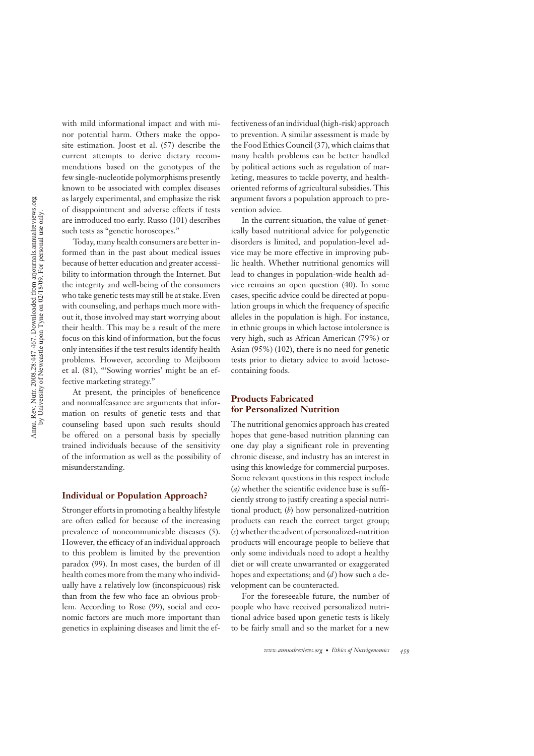with mild informational impact and with minor potential harm. Others make the opposite estimation. Joost et al. (57) describe the current attempts to derive dietary recommendations based on the genotypes of the few single-nucleotide polymorphisms presently known to be associated with complex diseases as largely experimental, and emphasize the risk of disappointment and adverse effects if tests are introduced too early. Russo (101) describes such tests as "genetic horoscopes."

Today, many health consumers are better informed than in the past about medical issues because of better education and greater accessibility to information through the Internet. But the integrity and well-being of the consumers who take genetic tests may still be at stake. Even with counseling, and perhaps much more without it, those involved may start worrying about their health. This may be a result of the mere focus on this kind of information, but the focus only intensifies if the test results identify health problems. However, according to Meijboom et al. (81), "'Sowing worries' might be an effective marketing strategy."

At present, the principles of beneficence and nonmalfeasance are arguments that information on results of genetic tests and that counseling based upon such results should be offered on a personal basis by specially trained individuals because of the sensitivity of the information as well as the possibility of misunderstanding.

#### **Individual or Population Approach?**

Stronger efforts in promoting a healthy lifestyle are often called for because of the increasing prevalence of noncommunicable diseases (5). However, the efficacy of an individual approach to this problem is limited by the prevention paradox (99). In most cases, the burden of ill health comes more from the many who individually have a relatively low (inconspicuous) risk than from the few who face an obvious problem. According to Rose (99), social and economic factors are much more important than genetics in explaining diseases and limit the effectiveness of an individual (high-risk) approach to prevention. A similar assessment is made by the Food Ethics Council (37), which claims that many health problems can be better handled by political actions such as regulation of marketing, measures to tackle poverty, and healthoriented reforms of agricultural subsidies. This argument favors a population approach to prevention advice.

In the current situation, the value of genetically based nutritional advice for polygenetic disorders is limited, and population-level advice may be more effective in improving public health. Whether nutritional genomics will lead to changes in population-wide health advice remains an open question (40). In some cases, specific advice could be directed at population groups in which the frequency of specific alleles in the population is high. For instance, in ethnic groups in which lactose intolerance is very high, such as African American (79%) or Asian (95%) (102), there is no need for genetic tests prior to dietary advice to avoid lactosecontaining foods.

### **Products Fabricated for Personalized Nutrition**

The nutritional genomics approach has created hopes that gene-based nutrition planning can one day play a significant role in preventing chronic disease, and industry has an interest in using this knowledge for commercial purposes. Some relevant questions in this respect include (*a)* whether the scientific evidence base is sufficiently strong to justify creating a special nutritional product; (*b*) how personalized-nutrition products can reach the correct target group; (*c*) whether the advent of personalized-nutrition products will encourage people to believe that only some individuals need to adopt a healthy diet or will create unwarranted or exaggerated hopes and expectations; and (*d* ) how such a development can be counteracted.

For the foreseeable future, the number of people who have received personalized nutritional advice based upon genetic tests is likely to be fairly small and so the market for a new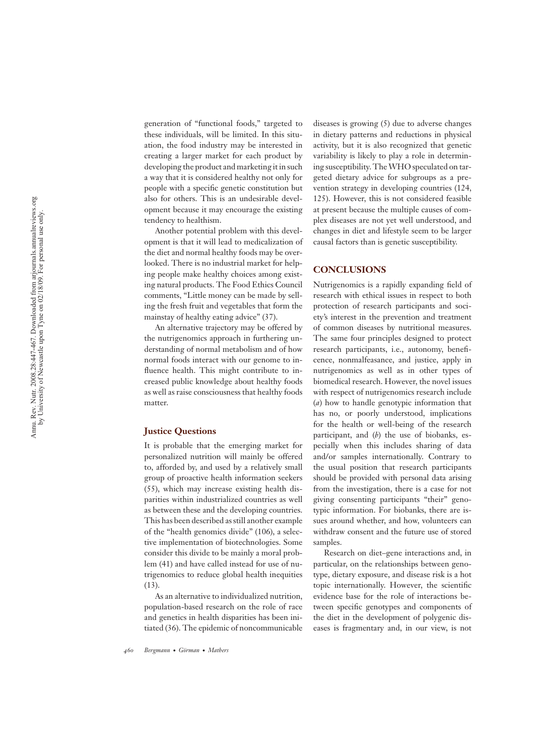generation of "functional foods," targeted to these individuals, will be limited. In this situation, the food industry may be interested in creating a larger market for each product by developing the product and marketing it in such a way that it is considered healthy not only for people with a specific genetic constitution but also for others. This is an undesirable development because it may encourage the existing tendency to healthism.

Another potential problem with this development is that it will lead to medicalization of the diet and normal healthy foods may be overlooked. There is no industrial market for helping people make healthy choices among existing natural products. The Food Ethics Council comments, "Little money can be made by selling the fresh fruit and vegetables that form the mainstay of healthy eating advice" (37).

An alternative trajectory may be offered by the nutrigenomics approach in furthering understanding of normal metabolism and of how normal foods interact with our genome to influence health. This might contribute to increased public knowledge about healthy foods as well as raise consciousness that healthy foods matter.

#### **Justice Questions**

It is probable that the emerging market for personalized nutrition will mainly be offered to, afforded by, and used by a relatively small group of proactive health information seekers (55), which may increase existing health disparities within industrialized countries as well as between these and the developing countries. This has been described as still another example of the "health genomics divide" (106), a selective implementation of biotechnologies. Some consider this divide to be mainly a moral problem (41) and have called instead for use of nutrigenomics to reduce global health inequities  $(13)$ .

As an alternative to individualized nutrition, population-based research on the role of race and genetics in health disparities has been initiated (36). The epidemic of noncommunicable

diseases is growing (5) due to adverse changes in dietary patterns and reductions in physical activity, but it is also recognized that genetic variability is likely to play a role in determining susceptibility. The WHO speculated on targeted dietary advice for subgroups as a prevention strategy in developing countries (124, 125). However, this is not considered feasible at present because the multiple causes of complex diseases are not yet well understood, and changes in diet and lifestyle seem to be larger causal factors than is genetic susceptibility.

# **CONCLUSIONS**

Nutrigenomics is a rapidly expanding field of research with ethical issues in respect to both protection of research participants and society's interest in the prevention and treatment of common diseases by nutritional measures. The same four principles designed to protect research participants, i.e., autonomy, beneficence, nonmalfeasance, and justice, apply in nutrigenomics as well as in other types of biomedical research. However, the novel issues with respect of nutrigenomics research include (*a*) how to handle genotypic information that has no, or poorly understood, implications for the health or well-being of the research participant, and ( *b*) the use of biobanks, especially when this includes sharing of data and/or samples internationally. Contrary to the usual position that research participants should be provided with personal data arising from the investigation, there is a case for not giving consenting participants "their" genotypic information. For biobanks, there are issues around whether, and how, volunteers can withdraw consent and the future use of stored samples.

Research on diet–gene interactions and, in particular, on the relationships between genotype, dietary exposure, and disease risk is a hot topic internationally. However, the scientific evidence base for the role of interactions between specific genotypes and components of the diet in the development of polygenic diseases is fragmentary and, in our view, is not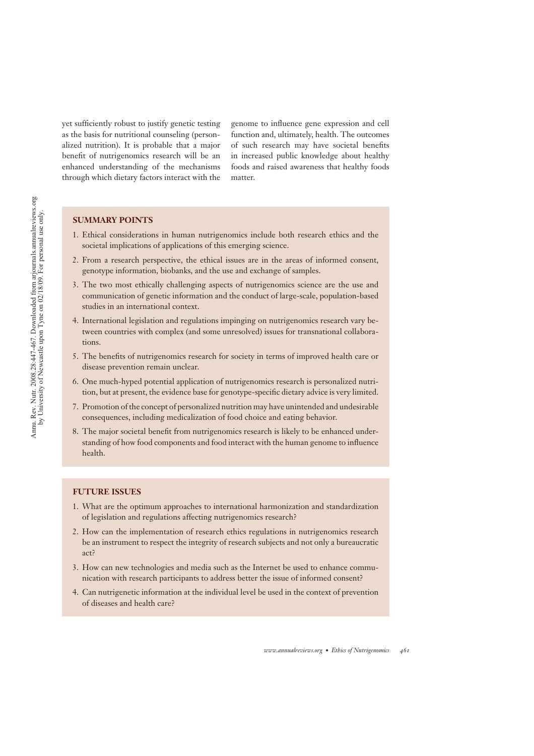yet sufficiently robust to justify genetic testing as the basis for nutritional counseling (personalized nutrition). It is probable that a major benefit of nutrigenomics research will be an enhanced understanding of the mechanisms through which dietary factors interact with the

genome to influence gene expression and cell function and, ultimately, health. The outcomes of such research may have societal benefits in increased public knowledge about healthy foods and raised awareness that healthy foods matter.

# **SUMMARY POINTS**

- 1. Ethical considerations in human nutrigenomics include both research ethics and the societal implications of applications of this emerging science.
- 2. From a research perspective, the ethical issues are in the areas of informed consent, genotype information, biobanks, and the use and exchange of samples.
- 3. The two most ethically challenging aspects of nutrigenomics science are the use and communication of genetic information and the conduct of large-scale, population-based studies in an international context.
- 4. International legislation and regulations impinging on nutrigenomics research vary between countries with complex (and some unresolved) issues for transnational collaborations.
- 5. The benefits of nutrigenomics research for society in terms of improved health care or disease prevention remain unclear.
- 6. One much-hyped potential application of nutrigenomics research is personalized nutrition, but at present, the evidence base for genotype-specific dietary advice is very limited.
- 7. Promotion of the concept of personalized nutrition may have unintended and undesirable consequences, including medicalization of food choice and eating behavior.
- 8. The major societal benefit from nutrigenomics research is likely to be enhanced understanding of how food components and food interact with the human genome to influence health.

#### **FUTURE ISSUES**

- 1. What are the optimum approaches to international harmonization and standardization of legislation and regulations affecting nutrigenomics research?
- 2. How can the implementation of research ethics regulations in nutrigenomics research be an instrument to respect the integrity of research subjects and not only a bureaucratic act?
- 3. How can new technologies and media such as the Internet be used to enhance communication with research participants to address better the issue of informed consent?
- 4. Can nutrigenetic information at the individual level be used in the context of prevention of diseases and health care?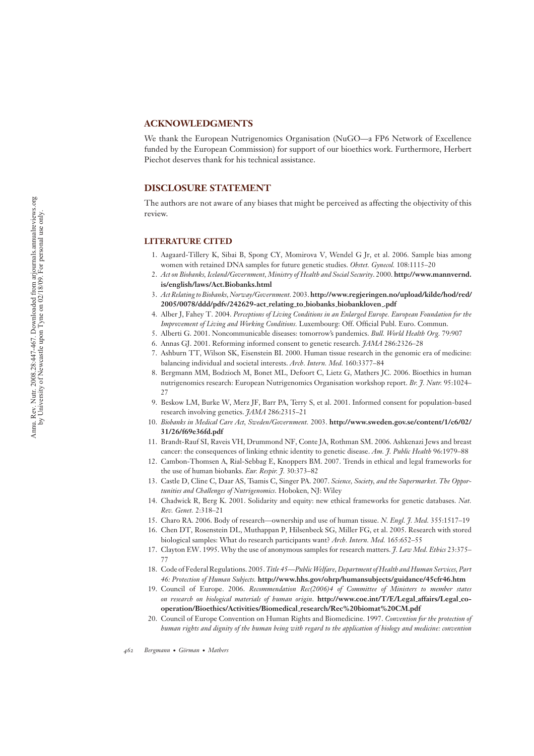## **ACKNOWLEDGMENTS**

We thank the European Nutrigenomics Organisation (NuGO—a FP6 Network of Excellence funded by the European Commission) for support of our bioethics work. Furthermore, Herbert Piechot deserves thank for his technical assistance.

#### **DISCLOSURE STATEMENT**

The authors are not aware of any biases that might be perceived as affecting the objectivity of this review.

#### **LITERATURE CITED**

- 1. Aagaard-Tillery K, Sibai B, Spong CY, Momirova V, Wendel G Jr, et al. 2006. Sample bias among women with retained DNA samples for future genetic studies. *Obstet. Gynecol.* 108:1115–20
- 2. *Act on Biobanks, Iceland/Government, Ministry of Health and Social Security*. 2000. **http://www.mannvernd. is/english/laws/Act.Biobanks.html**
- 3. *Act Relating to Biobanks, Norway/Government.* 2003.**http://www.regjeringen.no/upload/kilde/hod/red/ 2005/0078/ddd/pdfv/242629-act relating to biobanks biobankloven .pdf**
- 4. Alber J, Fahey T. 2004. *Perceptions of Living Conditions in an Enlarged Europe. European Foundation for the Improvement of Living and Working Conditions.* Luxembourg: Off. Official Publ. Euro. Commun.
- 5. Alberti G. 2001. Noncommunicable diseases: tomorrow's pandemics. *Bull. World Health Org.* 79:907
- 6. Annas GJ. 2001. Reforming informed consent to genetic research. *JAMA* 286:2326–28
- 7. Ashburn TT, Wilson SK, Eisenstein BI. 2000. Human tissue research in the genomic era of medicine: balancing individual and societal interests. *Arch. Intern. Med.* 160:3377–84
- 8. Bergmann MM, Bodzioch M, Bonet ML, Defoort C, Lietz G, Mathers JC. 2006. Bioethics in human nutrigenomics research: European Nutrigenomics Organisation workshop report. *Br. J. Nutr.* 95:1024– 27
- 9. Beskow LM, Burke W, Merz JF, Barr PA, Terry S, et al. 2001. Informed consent for population-based research involving genetics. *JAMA* 286:2315–21
- 10. *Biobanks in Medical Care Act, Sweden/Government.* 2003. **http://www.sweden.gov.se/content/1/c6/02/ 31/26/f69e36fd.pdf**
- 11. Brandt-Rauf SI, Raveis VH, Drummond NF, Conte JA, Rothman SM. 2006. Ashkenazi Jews and breast cancer: the consequences of linking ethnic identity to genetic disease. *Am. J. Public Health* 96:1979–88
- 12. Cambon-Thomsen A, Rial-Sebbag E, Knoppers BM. 2007. Trends in ethical and legal frameworks for the use of human biobanks. *Eur. Respir. J.* 30:373–82
- 13. Castle D, Cline C, Daar AS, Tsamis C, Singer PA. 2007. *Science, Society, and the Supermarket. The Opportunities and Challenges of Nutrigenomics*. Hoboken, NJ: Wiley
- 14. Chadwick R, Berg K. 2001. Solidarity and equity: new ethical frameworks for genetic databases. *Nat. Rev. Genet.* 2:318–21
- 15. Charo RA. 2006. Body of research—ownership and use of human tissue. *N. Engl. J. Med.* 355:1517–19
- 16. Chen DT, Rosenstein DL, Muthappan P, Hilsenbeck SG, Miller FG, et al. 2005. Research with stored biological samples: What do research participants want? *Arch. Intern. Med.* 165:652–55
- 17. Clayton EW. 1995. Why the use of anonymous samples for research matters. *J. Law Med. Ethics* 23:375– 77
- 18. Code of Federal Regulations. 2005.*Title 45—Public Welfare, Department of Health and Human Services, Part 46: Protection of Human Subjects.* **http://www.hhs.gov/ohrp/humansubjects/guidance/45cfr46.htm**
- 19. Council of Europe. 2006. *Recommendation Rec(2006)4 of Committee of Ministers to member states on research on biological materials of human origin*. **http://www.coe.int/T/E/Legal affairs/Legal cooperation/Bioethics/Activities/Biomedical research/Rec%20biomat%20CM.pdf**
- 20. Council of Europe Convention on Human Rights and Biomedicine. 1997. *Convention for the protection of human rights and dignity of the human being with regard to the application of biology and medicine: convention*

*462 Bergmann* · *G¨orman* · *Mathers*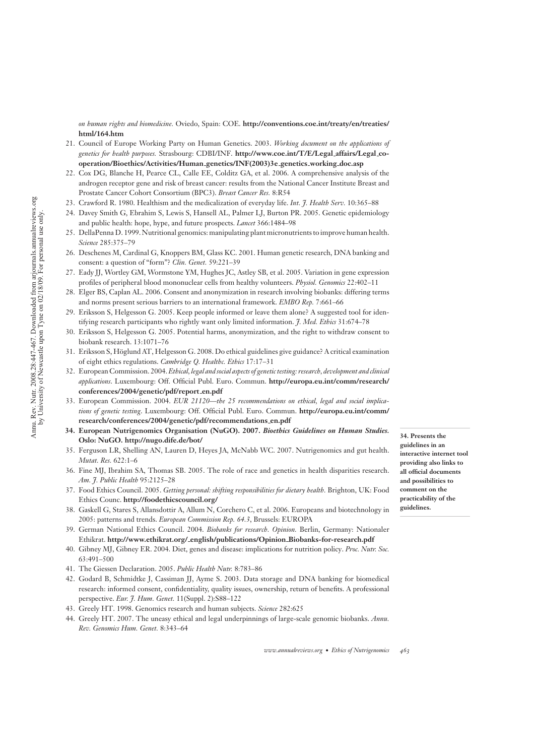*on human rights and biomedicine.* Oviedo, Spain: COE. **http://conventions.coe.int/treaty/en/treaties/ html/164.htm**

- 21. Council of Europe Working Party on Human Genetics. 2003. *Working document on the applications of genetics for health purposes.* Strasbourg: CDBI/INF. **http://www.coe.int/T/E/Legal affairs/Legal cooperation/Bioethics/Activities/Human genetics/INF(2003)3e genetics working doc.asp**
- 22. Cox DG, Blanche H, Pearce CL, Calle EE, Colditz GA, et al. 2006. A comprehensive analysis of the androgen receptor gene and risk of breast cancer: results from the National Cancer Institute Breast and Prostate Cancer Cohort Consortium (BPC3). *Breast Cancer Res.* 8:R54
- 23. Crawford R. 1980. Healthism and the medicalization of everyday life. *Int. J. Health Serv.* 10:365–88
- 24. Davey Smith G, Ebrahim S, Lewis S, Hansell AL, Palmer LJ, Burton PR. 2005. Genetic epidemiology and public health: hope, hype, and future prospects. *Lancet* 366:1484–98
- 25. DellaPenna D. 1999. Nutritional genomics: manipulating plant micronutrients to improve human health. *Science* 285:375–79
- 26. Deschenes M, Cardinal G, Knoppers BM, Glass KC. 2001. Human genetic research, DNA banking and consent: a question of "form"? *Clin. Genet.* 59:221–39
- 27. Eady JJ, Wortley GM, Wormstone YM, Hughes JC, Astley SB, et al. 2005. Variation in gene expression profiles of peripheral blood mononuclear cells from healthy volunteers. *Physiol. Genomics* 22:402–11
- 28. Elger BS, Caplan AL. 2006. Consent and anonymization in research involving biobanks: differing terms and norms present serious barriers to an international framework. *EMBO Rep.* 7:661–66
- 29. Eriksson S, Helgesson G. 2005. Keep people informed or leave them alone? A suggested tool for identifying research participants who rightly want only limited information. *J. Med. Ethics* 31:674–78
- 30. Eriksson S, Helgesson G. 2005. Potential harms, anonymization, and the right to withdraw consent to biobank research. 13:1071–76
- 31. Eriksson S, Hoglund AT, Helgesson G. 2008. Do ethical guidelines give guidance? A critical examination ¨ of eight ethics regulations. *Cambridge Q. Healthc. Ethics* 17:17–31
- 32. European Commission. 2004.*Ethical, legal and social aspects of genetic testing: research, development and clinical applications*. Luxembourg: Off. Official Publ. Euro. Commun. **http://europa.eu.int/comm/research/ conferences/2004/genetic/pdf/report en.pdf**
- 33. European Commission. 2004. *EUR 21120—the 25 recommendations on ethical, legal and social implications of genetic testing*. Luxembourg: Off. Official Publ. Euro. Commun. **http://europa.eu.int/comm/ research/conferences/2004/genetic/pdf/recommendations en.pdf**
- **34. European Nutrigenomics Organisation (NuGO). 2007.** *Bioethics Guidelines on Human Studies.* **Oslo: NuGO. http://nugo.dife.de/bot/**
- 35. Ferguson LR, Shelling AN, Lauren D, Heyes JA, McNabb WC. 2007. Nutrigenomics and gut health. *Mutat. Res.* 622:1–6
- 36. Fine MJ, Ibrahim SA, Thomas SB. 2005. The role of race and genetics in health disparities research. *Am. J. Public Health* 95:2125–28
- 37. Food Ethics Council. 2005. *Getting personal: shifting responsibilities for dietary health.* Brighton, UK: Food Ethics Counc. **http://foodethicscouncil.org/**
- 38. Gaskell G, Stares S, Allansdottir A, Allum N, Corchero C, et al. 2006. Europeans and biotechnology in 2005: patterns and trends. *European Commission Rep. 64.3*, Brussels: EUROPA
- 39. German National Ethics Council. 2004. *Biobanks for research. Opinion.* Berlin, Germany: Nationaler Ethikrat. **http://www.ethikrat.org/ english/publications/Opinion Biobanks-for-research.pdf**
- 40. Gibney MJ, Gibney ER. 2004. Diet, genes and disease: implications for nutrition policy. *Proc. Nutr. Soc.* 63:491–500
- 41. The Giessen Declaration. 2005. *Public Health Nutr.* 8:783–86
- 42. Godard B, Schmidtke J, Cassiman JJ, Ayme S. 2003. Data storage and DNA banking for biomedical research: informed consent, confidentiality, quality issues, ownership, return of benefits. A professional perspective. *Eur. J. Hum. Genet.* 11(Suppl. 2):S88–122
- 43. Greely HT. 1998. Genomics research and human subjects. *Science* 282:625
- 44. Greely HT. 2007. The uneasy ethical and legal underpinnings of large-scale genomic biobanks. *Annu. Rev. Genomics Hum. Genet.* 8:343–64

**34. Presents the guidelines in an interactive internet tool providing also links to all official documents and possibilities to comment on the practicability of the guidelines.**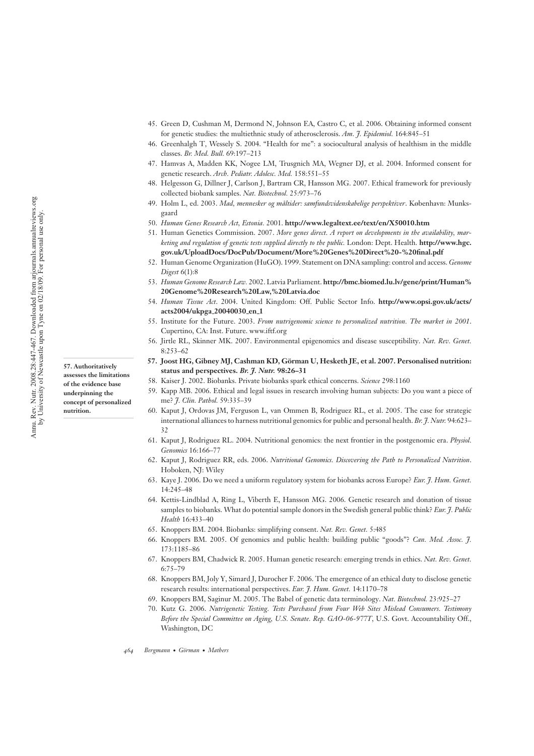**57. Authoritatively assesses the limitations of the evidence base underpinning the concept of personalized**

**nutrition.**

- for genetic studies: the multiethnic study of atherosclerosis. *Am. J. Epidemiol.* 164:845–51 46. Greenhalgh T, Wessely S. 2004. "Health for me": a sociocultural analysis of healthism in the middle
- classes. *Br. Med. Bull.* 69:197–213 47. Hamvas A, Madden KK, Nogee LM, Trusgnich MA, Wegner DJ, et al. 2004. Informed consent for genetic research. *Arch. Pediatr. Adolesc. Med.* 158:551–55

45. Green D, Cushman M, Dermond N, Johnson EA, Castro C, et al. 2006. Obtaining informed consent

- 48. Helgesson G, Dillner J, Carlson J, Bartram CR, Hansson MG. 2007. Ethical framework for previously collected biobank samples. *Nat. Biotechnol.* 25:973–76
- 49. Holm L, ed. 2003. *Mad, mennesker og måltider: samfundsvidenskabelige perspektiver*. København: Munksgaard
- 50. *Human Genes Research Act, Estonia.* 2001. **http://www.legaltext.ee/text/en/X50010.htm**
- 51. Human Genetics Commission. 2007. *More genes direct. A report on developments in the availability, marketing and regulation of genetic tests supplied directly to the public.* London: Dept. Health. **http://www.hgc. gov.uk/UploadDocs/DocPub/Document/More%20Genes%20Direct%20-%20final.pdf**
- 52. Human Genome Organization (HuGO). 1999. Statement on DNA sampling: control and access. *Genome Digest* 6(1):8
- 53. *Human Genome Research Law.* 2002. Latvia Parliament. **http://bmc.biomed.lu.lv/gene/print/Human% 20Genome%20Research%20Law,%20Latvia.doc**
- 54. *Human Tissue Act*. 2004. United Kingdom: Off. Public Sector Info. **http://www.opsi.gov.uk/acts/ acts2004/ukpga 20040030 en 1**
- 55. Institute for the Future. 2003. *From nutrigenomic science to personalized nutrition. The market in 2001*. Cupertino, CA: Inst. Future. www.iftf.org
- 56. Jirtle RL, Skinner MK. 2007. Environmental epigenomics and disease susceptibility. *Nat. Rev. Genet.* 8:253–62
- **57. Joost HG, Gibney MJ, Cashman KD, Gorman U, Hesketh JE, et al. 2007. Personalised nutrition: ¨ status and perspectives.** *Br. J. Nutr.* **98:26–31**
- 58. Kaiser J. 2002. Biobanks. Private biobanks spark ethical concerns. *Science* 298:1160
- 59. Kapp MB. 2006. Ethical and legal issues in research involving human subjects: Do you want a piece of me? *J. Clin. Pathol.* 59:335–39
- 60. Kaput J, Ordovas JM, Ferguson L, van Ommen B, Rodriguez RL, et al. 2005. The case for strategic international alliances to harness nutritional genomics for public and personal health. *Br. J. Nutr.* 94:623– 32
- 61. Kaput J, Rodriguez RL. 2004. Nutritional genomics: the next frontier in the postgenomic era. *Physiol. Genomics* 16:166–77
- 62. Kaput J, Rodriguez RR, eds. 2006. *Nutritional Genomics. Discovering the Path to Personalized Nutrition*. Hoboken, NJ: Wiley
- 63. Kaye J. 2006. Do we need a uniform regulatory system for biobanks across Europe? *Eur. J. Hum. Genet.* 14:245–48
- 64. Kettis-Lindblad A, Ring L, Viberth E, Hansson MG. 2006. Genetic research and donation of tissue samples to biobanks. What do potential sample donors in the Swedish general public think? *Eur. J. Public Health* 16:433–40
- 65. Knoppers BM. 2004. Biobanks: simplifying consent. *Nat. Rev. Genet.* 5:485
- 66. Knoppers BM. 2005. Of genomics and public health: building public "goods"? *Can. Med. Assoc. J.* 173:1185–86
- 67. Knoppers BM, Chadwick R. 2005. Human genetic research: emerging trends in ethics. *Nat. Rev. Genet.* 6:75–79
- 68. Knoppers BM, Joly Y, Simard J, Durocher F. 2006. The emergence of an ethical duty to disclose genetic research results: international perspectives. *Eur. J. Hum. Genet.* 14:1170–78
- 69. Knoppers BM, Saginur M. 2005. The Babel of genetic data terminology. *Nat. Biotechnol.* 23:925–27
- 70. Kutz G. 2006. *Nutrigenetic Testing. Tests Purchased from Four Web Sites Mislead Consumers. Testimony Before the Special Committee on Aging, U.S. Senate. Rep. GAO-06-977T*, U.S. Govt. Accountability Off., Washington, DC

*464 Bergmann* · *G¨orman* · *Mathers*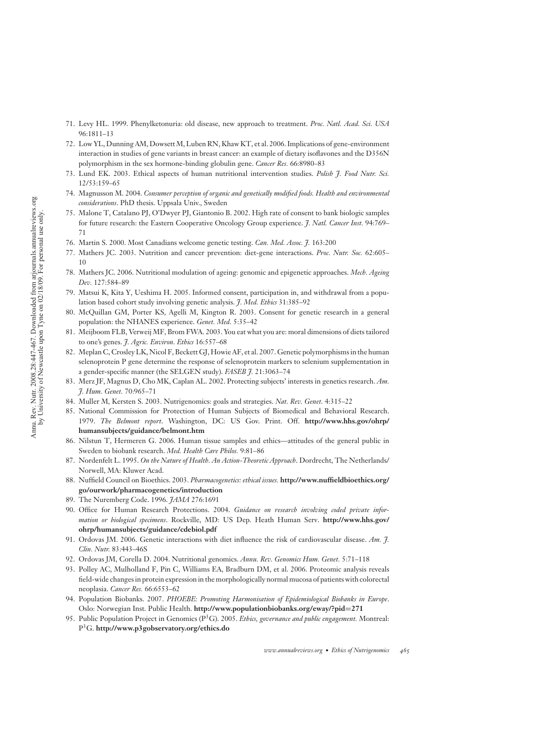- 71. Levy HL. 1999. Phenylketonuria: old disease, new approach to treatment. *Proc. Natl. Acad. Sci. USA* 96:1811–13
- 72. Low YL, Dunning AM, Dowsett M, Luben RN, Khaw KT, et al. 2006. Implications of gene-environment interaction in studies of gene variants in breast cancer: an example of dietary isoflavones and the D356N polymorphism in the sex hormone-binding globulin gene. *Cancer Res.* 66:8980–83
- 73. Lund EK. 2003. Ethical aspects of human nutritional intervention studies. *Polish J. Food Nutr. Sci.* 12/53:159–65
- 74. Magnusson M. 2004. *Consumer perception of organic and genetically modified foods. Health and environmental considerations*. PhD thesis. Uppsala Univ., Sweden
- 75. Malone T, Catalano PJ, O'Dwyer PJ, Giantonio B. 2002. High rate of consent to bank biologic samples for future research: the Eastern Cooperative Oncology Group experience. *J. Natl. Cancer Inst.* 94:769– 71
- 76. Martin S. 2000. Most Canadians welcome genetic testing. *Can. Med. Assoc. J.* 163:200
- 77. Mathers JC. 2003. Nutrition and cancer prevention: diet-gene interactions. *Proc. Nutr. Soc.* 62:605– 10
- 78. Mathers JC. 2006. Nutritional modulation of ageing: genomic and epigenetic approaches. *Mech. Ageing Dev.* 127:584–89
- 79. Matsui K, Kita Y, Ueshima H. 2005. Informed consent, participation in, and withdrawal from a population based cohort study involving genetic analysis. *J. Med. Ethics* 31:385–92
- 80. McQuillan GM, Porter KS, Agelli M, Kington R. 2003. Consent for genetic research in a general population: the NHANES experience. *Genet. Med.* 5:35–42
- 81. Meijboom FLB, Verweij MF, Brom FWA. 2003. You eat what you are: moral dimensions of diets tailored to one's genes. *J. Agric. Environ. Ethics* 16:557–68
- 82. Meplan C, Crosley LK, Nicol F, Beckett GJ, Howie AF, et al. 2007. Genetic polymorphisms in the human selenoprotein P gene determine the response of selenoprotein markers to selenium supplementation in a gender-specific manner (the SELGEN study). *FASEB J.* 21:3063–74
- 83. Merz JF, Magnus D, Cho MK, Caplan AL. 2002. Protecting subjects' interests in genetics research. *Am. J. Hum. Genet.* 70:965–71
- 84. Muller M, Kersten S. 2003. Nutrigenomics: goals and strategies. *Nat. Rev. Genet.* 4:315–22
- 85. National Commission for Protection of Human Subjects of Biomedical and Behavioral Research. 1979. *The Belmont report*. Washington, DC: US Gov. Print. Off. **http://www.hhs.gov/ohrp/ humansubjects/guidance/belmont.htm**
- 86. Nilstun T, Hermeren G. 2006. Human tissue samples and ethics—attitudes of the general public in Sweden to biobank research. *Med. Health Care Philos.* 9:81–86
- 87. Nordenfelt L. 1995. *On the Nature of Health. An Action-Theoretic Approach*. Dordrecht, The Netherlands/ Norwell, MA: Kluwer Acad.
- 88. Nuffield Council on Bioethics. 2003. *Pharmacogenetics: ethical issues.* **http://www.nuffieldbioethics.org/ go/ourwork/pharmacogenetics/introduction**
- 89. The Nuremberg Code. 1996. *JAMA* 276:1691
- 90. Office for Human Research Protections. 2004. *Guidance on research involving coded private information or biological specimens*. Rockville, MD: US Dep. Heath Human Serv. **http://www.hhs.gov/ ohrp/humansubjects/guidance/cdebiol.pdf**
- 91. Ordovas JM. 2006. Genetic interactions with diet influence the risk of cardiovascular disease. *Am. J. Clin. Nutr.* 83:443–46S
- 92. Ordovas JM, Corella D. 2004. Nutritional genomics. *Annu. Rev. Genomics Hum. Genet.* 5:71–118
- 93. Polley AC, Mulholland F, Pin C, Williams EA, Bradburn DM, et al. 2006. Proteomic analysis reveals field-wide changes in protein expression in the morphologically normal mucosa of patients with colorectal neoplasia. *Cancer Res.* 66:6553–62
- 94. Population Biobanks. 2007. *PHOEBE: Promoting Harmonisation of Epidemiological Biobanks in Europe*. Oslo: Norwegian Inst. Public Health. **http://www.populationbiobanks.org/eway/?pid**=**271**
- 95. Public Population Project in Genomics (P3G). 2005. *Ethics, governance and public engagement.* Montreal: P <sup>3</sup>G. **http://www.p3gobservatory.org/ethics.do**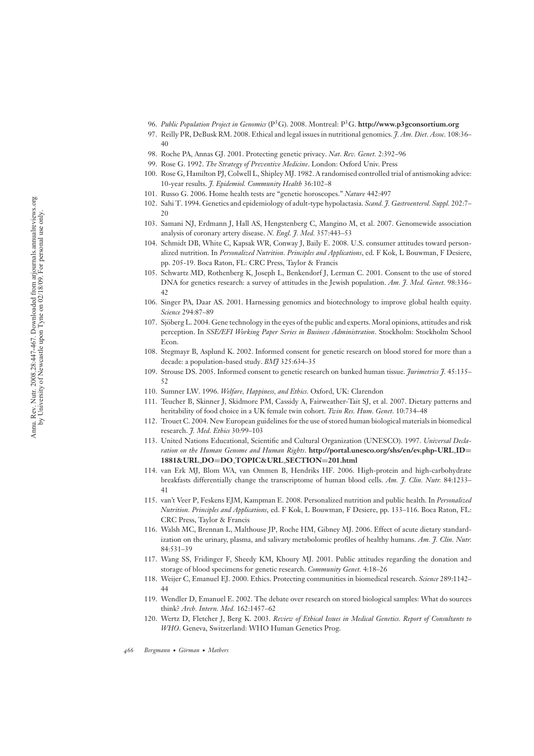- 96. *Public Population Project in Genomics* (P3G). 2008. Montreal: P3G. **http://www.p3gconsortium.org**
- 97. Reilly PR, DeBusk RM. 2008. Ethical and legal issues in nutritional genomics. *J. Am. Diet. Assoc.* 108:36– 40
- 98. Roche PA, Annas GJ. 2001. Protecting genetic privacy. *Nat. Rev. Genet.* 2:392–96
- 99. Rose G. 1992. *The Strategy of Preventive Medicine*. London: Oxford Univ. Press
- 100. Rose G, Hamilton PJ, Colwell L, Shipley MJ. 1982. A randomised controlled trial of antismoking advice: 10-year results. *J. Epidemiol. Community Health* 36:102–8
- 101. Russo G. 2006. Home health tests are "genetic horoscopes." *Nature* 442:497
- 102. Sahi T. 1994. Genetics and epidemiology of adult-type hypolactasia. *Scand. J. Gastroenterol. Suppl.* 202:7– 20
- 103. Samani NJ, Erdmann J, Hall AS, Hengstenberg C, Mangino M, et al. 2007. Genomewide association analysis of coronary artery disease. *N. Engl. J. Med.* 357:443–53
- 104. Schmidt DB, White C, Kapsak WR, Conway J, Baily E. 2008. U.S. consumer attitudes toward personalized nutrition. In *Personalized Nutrition. Principles and Applications*, ed. F Kok, L Bouwman, F Desiere, pp. 205-19. Boca Raton, FL: CRC Press, Taylor & Francis
- 105. Schwartz MD, Rothenberg K, Joseph L, Benkendorf J, Lerman C. 2001. Consent to the use of stored DNA for genetics research: a survey of attitudes in the Jewish population. *Am. J. Med. Genet.* 98:336– 42
- 106. Singer PA, Daar AS. 2001. Harnessing genomics and biotechnology to improve global health equity. *Science* 294:87–89
- 107. Sjoberg L. 2004. Gene technology in the eyes of the public and experts. Moral opinions, attitudes and risk ¨ perception. In *SSE/EFI Working Paper Series in Business Administration*. Stockholm: Stockholm School Econ.
- 108. Stegmayr B, Asplund K. 2002. Informed consent for genetic research on blood stored for more than a decade: a population-based study. *BMJ* 325:634–35
- 109. Strouse DS. 2005. Informed consent to genetic research on banked human tissue. *Jurimetrics J.* 45:135– 52
- 110. Sumner LW. 1996. *Welfare, Happiness, and Ethics*. Oxford, UK: Clarendon
- 111. Teucher B, Skinner J, Skidmore PM, Cassidy A, Fairweather-Tait SJ, et al. 2007. Dietary patterns and heritability of food choice in a UK female twin cohort. *Twin Res. Hum. Genet.* 10:734–48
- 112. Trouet C. 2004. New European guidelines for the use of stored human biological materials in biomedical research. *J. Med. Ethics* 30:99–103
- 113. United Nations Educational, Scientific and Cultural Organization (UNESCO). 1997. *Universal Declaration on the Human Genome and Human Rights*. **http://portal.unesco.org/shs/en/ev.php-URL ID**= **1881&URL DO**=**DO TOPIC&URL SECTION**=**201.html**
- 114. van Erk MJ, Blom WA, van Ommen B, Hendriks HF. 2006. High-protein and high-carbohydrate breakfasts differentially change the transcriptome of human blood cells. *Am. J. Clin. Nutr.* 84:1233– 41
- 115. van't Veer P, Feskens EJM, Kampman E. 2008. Personalized nutrition and public health. In *Personalized Nutrition. Principles and Applications*, ed. F Kok, L Bouwman, F Desiere, pp. 133–116. Boca Raton, FL: CRC Press, Taylor & Francis
- 116. Walsh MC, Brennan L, Malthouse JP, Roche HM, Gibney MJ. 2006. Effect of acute dietary standardization on the urinary, plasma, and salivary metabolomic profiles of healthy humans. *Am. J. Clin. Nutr.* 84:531–39
- 117. Wang SS, Fridinger F, Sheedy KM, Khoury MJ. 2001. Public attitudes regarding the donation and storage of blood specimens for genetic research. *Community Genet.* 4:18–26
- 118. Weijer C, Emanuel EJ. 2000. Ethics. Protecting communities in biomedical research. *Science* 289:1142– 44
- 119. Wendler D, Emanuel E. 2002. The debate over research on stored biological samples: What do sources think? *Arch. Intern. Med.* 162:1457–62
- 120. Wertz D, Fletcher J, Berg K. 2003. *Review of Ethical Issues in Medical Genetics. Report of Consultants to WHO*. Geneva, Switzerland: WHO Human Genetics Prog.

*466 Bergmann* · *G¨orman* · *Mathers*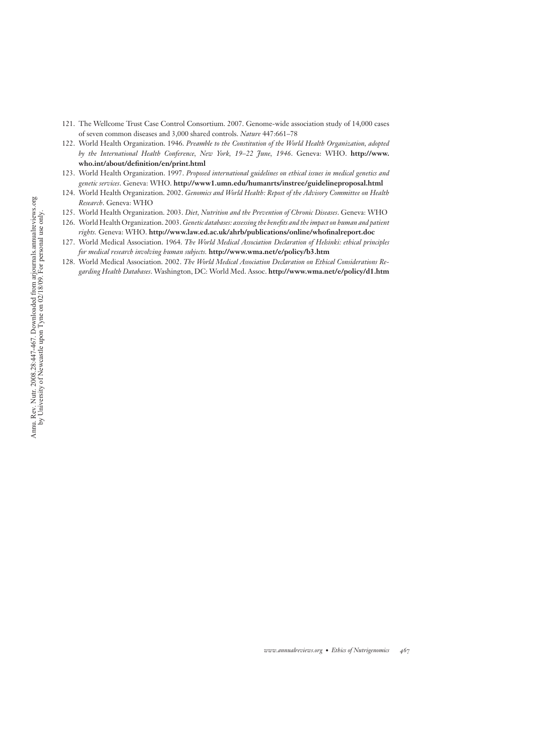- 121. The Wellcome Trust Case Control Consortium. 2007. Genome-wide association study of 14,000 cases of seven common diseases and 3,000 shared controls. *Nature* 447:661–78
- 122. World Health Organization. 1946. *Preamble to the Constitution of the World Health Organization, adopted by the International Health Conference, New York, 19–22 June, 1946*. Geneva: WHO. **http://www. who.int/about/definition/en/print.html**
- 123. World Health Organization. 1997. *Proposed international guidelines on ethical issues in medical genetics and genetic services*. Geneva: WHO. **http://www1.umn.edu/humanrts/instree/guidelineproposal.html**
- 124. World Health Organization. 2002. *Genomics and World Health: Repost of the Advisory Committee on Health Research*. Geneva: WHO
- 125. World Health Organization. 2003. *Diet, Nutrition and the Prevention of Chronic Diseases*. Geneva: WHO
- 126. World Health Organization. 2003. *Genetic databases: assessing the benefits and the impact on human and patient rights.* Geneva: WHO. **http://www.law.ed.ac.uk/ahrb/publications/online/whofinalreport.doc**
- 127. World Medical Association. 1964. *The World Medical Association Declaration of Helsinki: ethical principles for medical research involving human subjects.* **http://www.wma.net/e/policy/b3.htm**
- 128. World Medical Association. 2002. *The World Medical Association Declaration on Ethical Considerations Regarding Health Databases*. Washington, DC: World Med. Assoc. **http://www.wma.net/e/policy/d1.htm**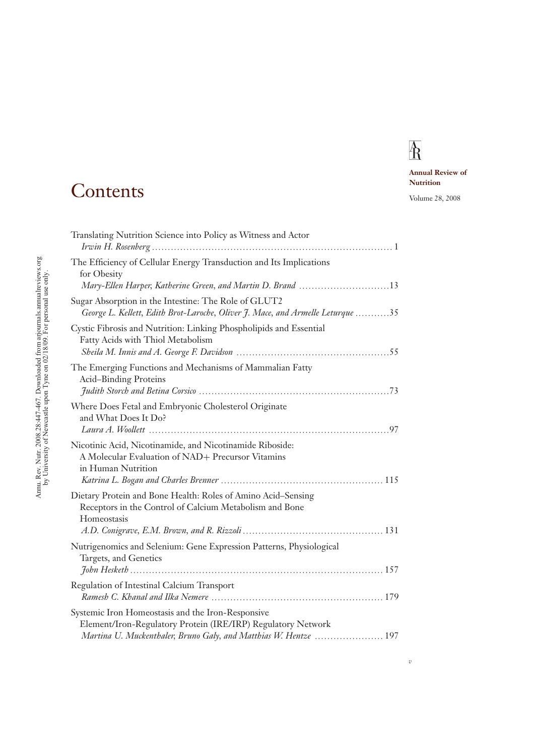# $\mathbf{\hat{R}}$

*v*

**Annual Review of**

| Translating Nutrition Science into Policy as Witness and Actor                                                                                                                        |
|---------------------------------------------------------------------------------------------------------------------------------------------------------------------------------------|
| The Efficiency of Cellular Energy Transduction and Its Implications<br>for Obesity<br>Mary-Ellen Harper, Katherine Green, and Martin D. Brand 13                                      |
| Sugar Absorption in the Intestine: The Role of GLUT2<br>George L. Kellett, Edith Brot-Laroche, Oliver J. Mace, and Armelle Leturque 35                                                |
| Cystic Fibrosis and Nutrition: Linking Phospholipids and Essential<br>Fatty Acids with Thiol Metabolism                                                                               |
| The Emerging Functions and Mechanisms of Mammalian Fatty<br><b>Acid-Binding Proteins</b>                                                                                              |
| Where Does Fetal and Embryonic Cholesterol Originate<br>and What Does It Do?                                                                                                          |
| Nicotinic Acid, Nicotinamide, and Nicotinamide Riboside:<br>A Molecular Evaluation of NAD+ Precursor Vitamins<br>in Human Nutrition                                                   |
| Dietary Protein and Bone Health: Roles of Amino Acid-Sensing<br>Receptors in the Control of Calcium Metabolism and Bone<br>Homeostasis                                                |
| Nutrigenomics and Selenium: Gene Expression Patterns, Physiological<br>Targets, and Genetics                                                                                          |
| Regulation of Intestinal Calcium Transport                                                                                                                                            |
| Systemic Iron Homeostasis and the Iron-Responsive<br>Element/Iron-Regulatory Protein (IRE/IRP) Regulatory Network<br>Martina U. Muckenthaler, Bruno Galy, and Matthias W. Hentze  197 |

# **Contents** Volume 28, 2008